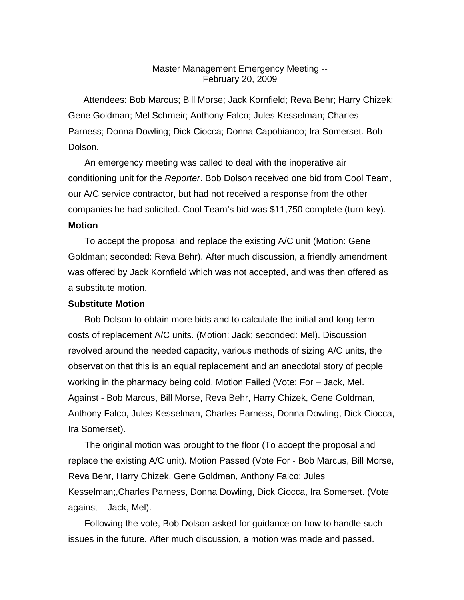## Master Management Emergency Meeting-- February 20, 2009

Attendees: Bob Marcus; Bill Morse; Jack Kornfield; Reva Behr; Harry Chizek; Gene Goldman; Mel Schmeir; Anthony Falco; Jules Kesselman; Charles Parness; Donna Dowling; Dick Ciocca; Donna Capobianco; Ira Somerset. Bob Dolson.

An emergency meeting was called to deal with the inoperative air conditioning unit for the *Reporter*. Bob Dolson received one bid from Cool Team, our A/C service contractor, but had not received a response from the other companies he had solicited. Cool Team's bid was \$11,750 complete (turn-key). **Motion**

To accept the proposal and replace the existing A/C unit (Motion: Gene Goldman; seconded: Reva Behr). After much discussion, a friendly amendment was offered by Jack Kornfield which was not accepted, and was then offered as a substitute motion.

## **Substitute Motion**

Bob Dolson to obtain more bids and to calculate the initial and long-term costs of replacement A/C units. (Motion: Jack; seconded: Mel). Discussion revolved around the needed capacity, various methods of sizing A/C units, the observation that this is an equal replacement and an anecdotal story of people working in the pharmacy being cold. Motion Failed (Vote: For – Jack, Mel. Against - Bob Marcus, Bill Morse, Reva Behr, Harry Chizek, Gene Goldman, Anthony Falco, Jules Kesselman, Charles Parness, Donna Dowling, Dick Ciocca, Ira Somerset).

The original motion was brought to the floor (To accept the proposal and replace the existing A/C unit). Motion Passed (Vote For - Bob Marcus, Bill Morse, Reva Behr, Harry Chizek, Gene Goldman, Anthony Falco; Jules Kesselman;,Charles Parness, Donna Dowling, Dick Ciocca, Ira Somerset. (Vote against – Jack, Mel).

Following the vote, Bob Dolson asked for guidance on how to handle such issues in the future. After much discussion, a motion was made and passed.